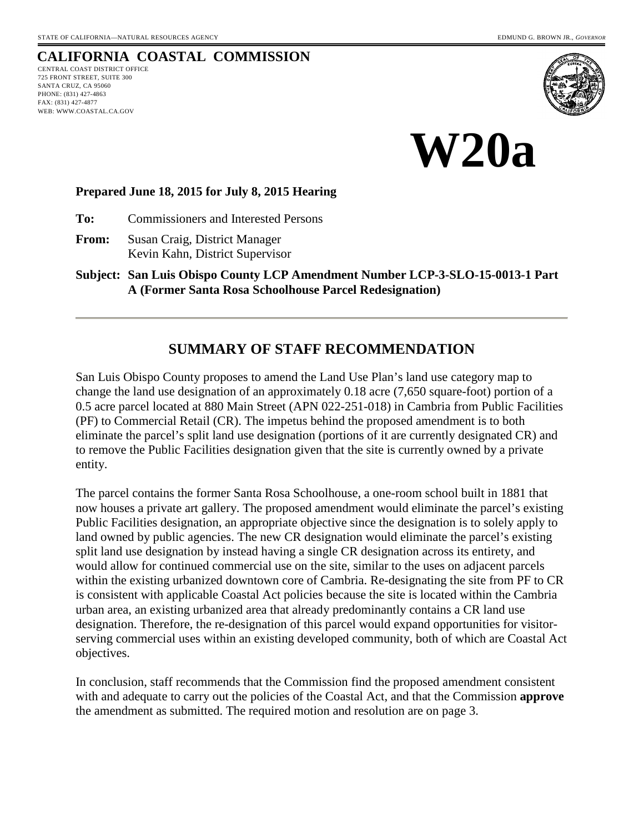# **CALIFORNIA COASTAL COMMISSION**

CENTRAL COAST DISTRICT OFFICE 725 FRONT STREET, SUITE 300 SANTA CRUZ, CA 95060 PHONE: (831) 427-4863 FAX: (831) 427-4877 WEB: WWW.COASTAL.CA.GOV





#### **Prepared June 18, 2015 for July 8, 2015 Hearing**

**To:** Commissioners and Interested Persons

**From:** Susan Craig, District Manager Kevin Kahn, District Supervisor

**Subject: San Luis Obispo County LCP Amendment Number LCP-3-SLO-15-0013-1 Part A (Former Santa Rosa Schoolhouse Parcel Redesignation)**

## **SUMMARY OF STAFF RECOMMENDATION**

San Luis Obispo County proposes to amend the Land Use Plan's land use category map to change the land use designation of an approximately 0.18 acre (7,650 square-foot) portion of a 0.5 acre parcel located at 880 Main Street (APN 022-251-018) in Cambria from Public Facilities (PF) to Commercial Retail (CR). The impetus behind the proposed amendment is to both eliminate the parcel's split land use designation (portions of it are currently designated CR) and to remove the Public Facilities designation given that the site is currently owned by a private entity.

The parcel contains the former Santa Rosa Schoolhouse, a one-room school built in 1881 that now houses a private art gallery. The proposed amendment would eliminate the parcel's existing Public Facilities designation, an appropriate objective since the designation is to solely apply to land owned by public agencies. The new CR designation would eliminate the parcel's existing split land use designation by instead having a single CR designation across its entirety, and would allow for continued commercial use on the site, similar to the uses on adjacent parcels within the existing urbanized downtown core of Cambria. Re-designating the site from PF to CR is consistent with applicable Coastal Act policies because the site is located within the Cambria urban area, an existing urbanized area that already predominantly contains a CR land use designation. Therefore, the re-designation of this parcel would expand opportunities for visitorserving commercial uses within an existing developed community, both of which are Coastal Act objectives.

In conclusion, staff recommends that the Commission find the proposed amendment consistent with and adequate to carry out the policies of the Coastal Act, and that the Commission **approve** the amendment as submitted. The required motion and resolution are on page 3.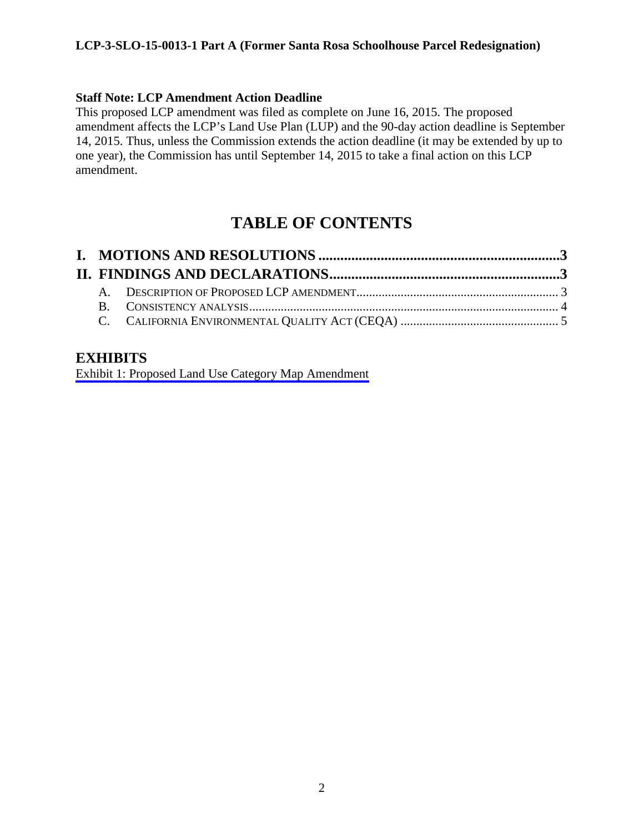#### **LCP-3-SLO-15-0013-1 Part A (Former Santa Rosa Schoolhouse Parcel Redesignation)**

#### **Staff Note: LCP Amendment Action Deadline**

This proposed LCP amendment was filed as complete on June 16, 2015. The proposed amendment affects the LCP's Land Use Plan (LUP) and the 90-day action deadline is September 14, 2015. Thus, unless the Commission extends the action deadline (it may be extended by up to one year), the Commission has until September 14, 2015 to take a final action on this LCP amendment.

# **TABLE OF CONTENTS**

## **EXHIBITS**

[Exhibit 1: Proposed Land Use Category Map Amendment](#page-5-0)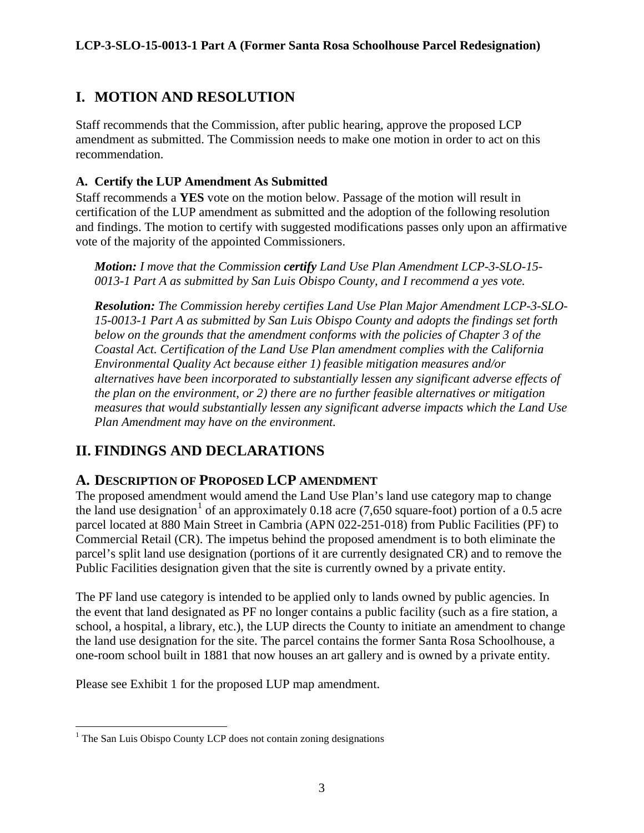#### **LCP-3-SLO-15-0013-1 Part A (Former Santa Rosa Schoolhouse Parcel Redesignation)**

# <span id="page-2-0"></span>**I. MOTION AND RESOLUTION**

Staff recommends that the Commission, after public hearing, approve the proposed LCP amendment as submitted. The Commission needs to make one motion in order to act on this recommendation.

## **A. Certify the LUP Amendment As Submitted**

Staff recommends a **YES** vote on the motion below. Passage of the motion will result in certification of the LUP amendment as submitted and the adoption of the following resolution and findings. The motion to certify with suggested modifications passes only upon an affirmative vote of the majority of the appointed Commissioners.

*Motion: I move that the Commission certify Land Use Plan Amendment LCP-3-SLO-15- 0013-1 Part A as submitted by San Luis Obispo County, and I recommend a yes vote.*

*Resolution: The Commission hereby certifies Land Use Plan Major Amendment LCP-3-SLO-15-0013-1 Part A as submitted by San Luis Obispo County and adopts the findings set forth below on the grounds that the amendment conforms with the policies of Chapter 3 of the Coastal Act. Certification of the Land Use Plan amendment complies with the California Environmental Quality Act because either 1) feasible mitigation measures and/or alternatives have been incorporated to substantially lessen any significant adverse effects of the plan on the environment, or 2) there are no further feasible alternatives or mitigation measures that would substantially lessen any significant adverse impacts which the Land Use Plan Amendment may have on the environment.* 

# <span id="page-2-1"></span>**II. FINDINGS AND DECLARATIONS**

## <span id="page-2-2"></span>**A. DESCRIPTION OF PROPOSED LCP AMENDMENT**

The proposed amendment would amend the Land Use Plan's land use category map to change the land use designation<sup>[1](#page-2-3)</sup> of an approximately 0.18 acre (7,650 square-foot) portion of a 0.5 acre parcel located at 880 Main Street in Cambria (APN 022-251-018) from Public Facilities (PF) to Commercial Retail (CR). The impetus behind the proposed amendment is to both eliminate the parcel's split land use designation (portions of it are currently designated CR) and to remove the Public Facilities designation given that the site is currently owned by a private entity.

The PF land use category is intended to be applied only to lands owned by public agencies. In the event that land designated as PF no longer contains a public facility (such as a fire station, a school, a hospital, a library, etc.), the LUP directs the County to initiate an amendment to change the land use designation for the site. The parcel contains the former Santa Rosa Schoolhouse, a one-room school built in 1881 that now houses an art gallery and is owned by a private entity.

Please see Exhibit 1 for the proposed LUP map amendment.

<span id="page-2-3"></span> $\overline{a}$ <sup>1</sup> The San Luis Obispo County LCP does not contain zoning designations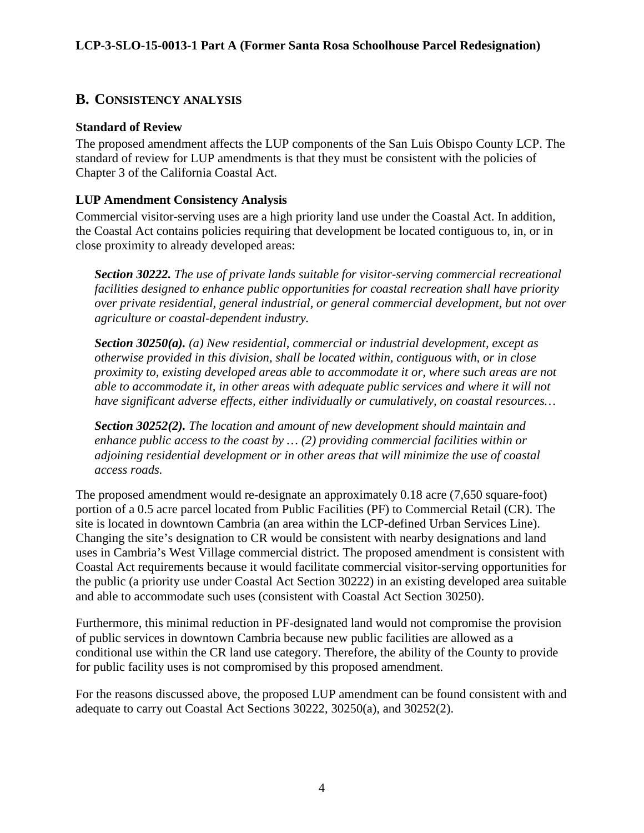## <span id="page-3-0"></span>**B. CONSISTENCY ANALYSIS**

## **Standard of Review**

The proposed amendment affects the LUP components of the San Luis Obispo County LCP. The standard of review for LUP amendments is that they must be consistent with the policies of Chapter 3 of the California Coastal Act.

## **LUP Amendment Consistency Analysis**

Commercial visitor-serving uses are a high priority land use under the Coastal Act. In addition, the Coastal Act contains policies requiring that development be located contiguous to, in, or in close proximity to already developed areas:

*Section 30222. The use of private lands suitable for visitor-serving commercial recreational facilities designed to enhance public opportunities for coastal recreation shall have priority over private residential, general industrial, or general commercial development, but not over agriculture or coastal-dependent industry.* 

*Section 30250(a). (a) New residential, commercial or industrial development, except as otherwise provided in this division, shall be located within, contiguous with, or in close proximity to, existing developed areas able to accommodate it or, where such areas are not able to accommodate it, in other areas with adequate public services and where it will not have significant adverse effects, either individually or cumulatively, on coastal resources…*

*Section 30252(2). The location and amount of new development should maintain and enhance public access to the coast by … (2) providing commercial facilities within or adjoining residential development or in other areas that will minimize the use of coastal access roads.*

The proposed amendment would re-designate an approximately 0.18 acre (7,650 square-foot) portion of a 0.5 acre parcel located from Public Facilities (PF) to Commercial Retail (CR). The site is located in downtown Cambria (an area within the LCP-defined Urban Services Line). Changing the site's designation to CR would be consistent with nearby designations and land uses in Cambria's West Village commercial district. The proposed amendment is consistent with Coastal Act requirements because it would facilitate commercial visitor-serving opportunities for the public (a priority use under Coastal Act Section 30222) in an existing developed area suitable and able to accommodate such uses (consistent with Coastal Act Section 30250).

Furthermore, this minimal reduction in PF-designated land would not compromise the provision of public services in downtown Cambria because new public facilities are allowed as a conditional use within the CR land use category. Therefore, the ability of the County to provide for public facility uses is not compromised by this proposed amendment.

For the reasons discussed above, the proposed LUP amendment can be found consistent with and adequate to carry out Coastal Act Sections 30222, 30250(a), and 30252(2).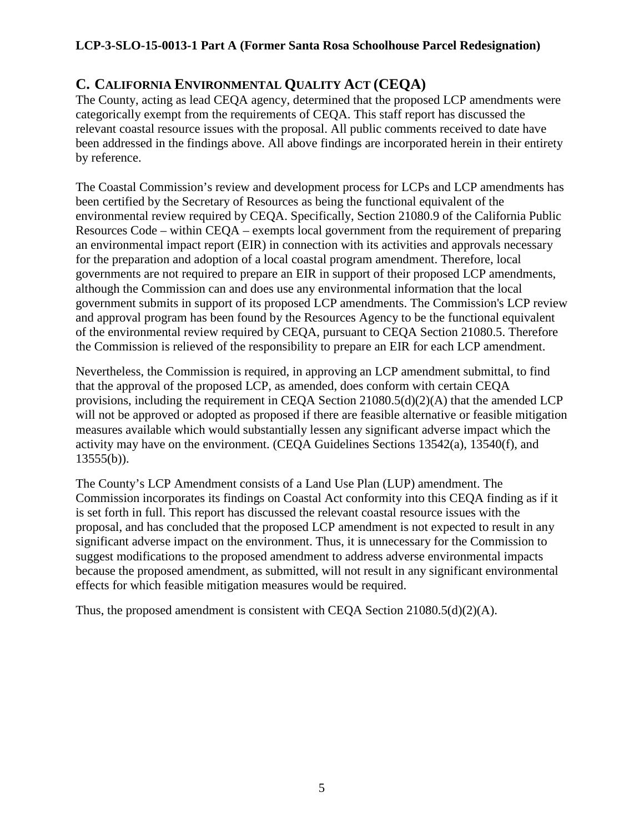## **LCP-3-SLO-15-0013-1 Part A (Former Santa Rosa Schoolhouse Parcel Redesignation)**

# <span id="page-4-0"></span>**C. CALIFORNIA ENVIRONMENTAL QUALITY ACT (CEQA)**

The County, acting as lead CEQA agency, determined that the proposed LCP amendments were categorically exempt from the requirements of CEQA. This staff report has discussed the relevant coastal resource issues with the proposal. All public comments received to date have been addressed in the findings above. All above findings are incorporated herein in their entirety by reference.

The Coastal Commission's review and development process for LCPs and LCP amendments has been certified by the Secretary of Resources as being the functional equivalent of the environmental review required by CEQA. Specifically, Section 21080.9 of the California Public Resources Code – within CEQA – exempts local government from the requirement of preparing an environmental impact report (EIR) in connection with its activities and approvals necessary for the preparation and adoption of a local coastal program amendment. Therefore, local governments are not required to prepare an EIR in support of their proposed LCP amendments, although the Commission can and does use any environmental information that the local government submits in support of its proposed LCP amendments. The Commission's LCP review and approval program has been found by the Resources Agency to be the functional equivalent of the environmental review required by CEQA, pursuant to CEQA Section 21080.5. Therefore the Commission is relieved of the responsibility to prepare an EIR for each LCP amendment.

Nevertheless, the Commission is required, in approving an LCP amendment submittal, to find that the approval of the proposed LCP, as amended, does conform with certain CEQA provisions, including the requirement in CEQA Section 21080.5(d)(2)(A) that the amended LCP will not be approved or adopted as proposed if there are feasible alternative or feasible mitigation measures available which would substantially lessen any significant adverse impact which the activity may have on the environment. (CEQA Guidelines Sections 13542(a), 13540(f), and  $13555(b)$ ).

The County's LCP Amendment consists of a Land Use Plan (LUP) amendment. The Commission incorporates its findings on Coastal Act conformity into this CEQA finding as if it is set forth in full. This report has discussed the relevant coastal resource issues with the proposal, and has concluded that the proposed LCP amendment is not expected to result in any significant adverse impact on the environment. Thus, it is unnecessary for the Commission to suggest modifications to the proposed amendment to address adverse environmental impacts because the proposed amendment, as submitted, will not result in any significant environmental effects for which feasible mitigation measures would be required.

Thus, the proposed amendment is consistent with CEQA Section  $21080.5(d)(2)(A)$ .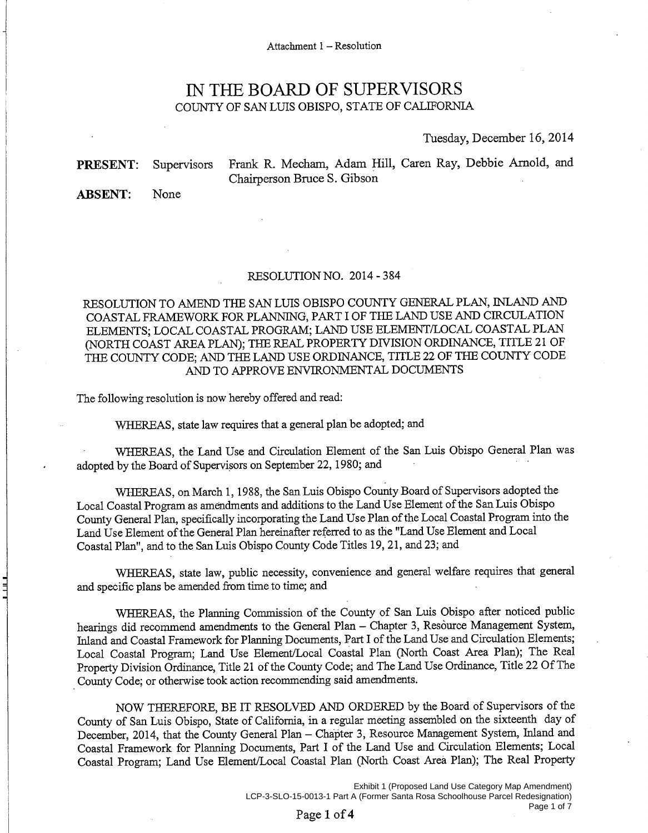## IN THE BOARD OF SUPERVISORS COUNTY OF SAN LUIS OBISPO, STATE OF CALIFORNIA

#### Tuesday, December 16, 2014

Frank R. Mecham, Adam Hill, Caren Ray, Debbie Arnold, and Supervisors Chairperson Bruce S. Gibson

**ABSENT:** None

<span id="page-5-0"></span>**PRESENT:** 

 $\exists$ 

#### RESOLUTION NO. 2014 - 384

RESOLUTION TO AMEND THE SAN LUIS OBISPO COUNTY GENERAL PLAN, INLAND AND COASTAL FRAMEWORK FOR PLANNING, PART I OF THE LAND USE AND CIRCULATION ELEMENTS: LOCAL COASTAL PROGRAM; LAND USE ELEMENT/LOCAL COASTAL PLAN (NORTH COAST AREA PLAN); THE REAL PROPERTY DIVISION ORDINANCE, TITLE 21 OF THE COUNTY CODE; AND THE LAND USE ORDINANCE, TITLE 22 OF THE COUNTY CODE AND TO APPROVE ENVIRONMENTAL DOCUMENTS

The following resolution is now hereby offered and read:

WHEREAS, state law requires that a general plan be adopted; and

WHEREAS, the Land Use and Circulation Element of the San Luis Obispo General Plan was adopted by the Board of Supervisors on September 22, 1980; and

WHEREAS, on March 1, 1988, the San Luis Obispo County Board of Supervisors adopted the Local Coastal Program as amendments and additions to the Land Use Element of the San Luis Obispo County General Plan, specifically incorporating the Land Use Plan of the Local Coastal Program into the Land Use Element of the General Plan hereinafter referred to as the "Land Use Element and Local Coastal Plan", and to the San Luis Obispo County Code Titles 19, 21, and 23; and

WHEREAS, state law, public necessity, convenience and general welfare requires that general and specific plans be amended from time to time; and

WHEREAS, the Planning Commission of the County of San Luis Obispo after noticed public hearings did recommend amendments to the General Plan - Chapter 3, Resource Management System, Inland and Coastal Framework for Planning Documents, Part I of the Land Use and Circulation Elements; Local Coastal Program; Land Use Element/Local Coastal Plan (North Coast Area Plan); The Real Property Division Ordinance, Title 21 of the County Code; and The Land Use Ordinance, Title 22 Of The County Code; or otherwise took action recommending said amendments.

NOW THEREFORE, BE IT RESOLVED AND ORDERED by the Board of Supervisors of the County of San Luis Obispo, State of California, in a regular meeting assembled on the sixteenth day of December, 2014, that the County General Plan - Chapter 3, Resource Management System, Inland and Coastal Framework for Planning Documents, Part I of the Land Use and Circulation Elements; Local Coastal Program; Land Use Element/Local Coastal Plan (North Coast Area Plan); The Real Property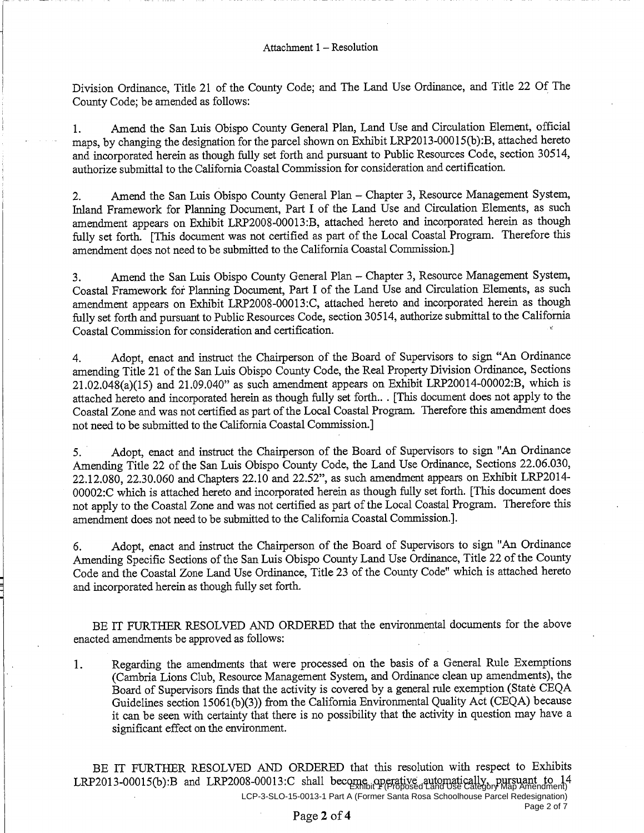Division Ordinance, Title 21 of the County Code; and The Land Use Ordinance, and Title 22 Of The County Code; be amended as follows:

Amend the San Luis Obispo County General Plan, Land Use and Circulation Element, official  $1.$ maps, by changing the designation for the parcel shown on Exhibit LRP2013-00015(b):B, attached hereto and incorporated herein as though fully set forth and pursuant to Public Resources Code, section 30514, authorize submittal to the California Coastal Commission for consideration and certification.

Amend the San Luis Obispo County General Plan - Chapter 3, Resource Management System,  $2.$ Inland Framework for Planning Document, Part I of the Land Use and Circulation Elements, as such amendment appears on Exhibit LRP2008-00013:B, attached hereto and incorporated herein as though fully set forth. [This document was not certified as part of the Local Coastal Program. Therefore this amendment does not need to be submitted to the California Coastal Commission.]

Amend the San Luis Obispo County General Plan - Chapter 3, Resource Management System,  $3<sub>1</sub>$ Coastal Framework for Planning Document, Part I of the Land Use and Circulation Elements, as such amendment appears on Exhibit LRP2008-00013:C, attached hereto and incorporated herein as though fully set forth and pursuant to Public Resources Code, section 30514, authorize submittal to the California Coastal Commission for consideration and certification.

Adopt, enact and instruct the Chairperson of the Board of Supervisors to sign "An Ordinance  $\overline{4}$ . amending Title 21 of the San Luis Obispo County Code, the Real Property Division Ordinance, Sections 21.02.048(a)(15) and 21.09.040" as such amendment appears on Exhibit LRP20014-00002:B, which is attached hereto and incorporated herein as though fully set forth... [This document does not apply to the Coastal Zone and was not certified as part of the Local Coastal Program. Therefore this amendment does not need to be submitted to the California Coastal Commission.]

Adopt, enact and instruct the Chairperson of the Board of Supervisors to sign "An Ordinance 5. Amending Title 22 of the San Luis Obispo County Code, the Land Use Ordinance, Sections 22.06.030, 22.12.080, 22.30.060 and Chapters 22.10 and 22.52", as such amendment appears on Exhibit LRP2014-00002:C which is attached hereto and incorporated herein as though fully set forth. [This document does not apply to the Coastal Zone and was not certified as part of the Local Coastal Program. Therefore this amendment does not need to be submitted to the California Coastal Commission.].

Adopt, enact and instruct the Chairperson of the Board of Supervisors to sign "An Ordinance 6. Amending Specific Sections of the San Luis Obispo County Land Use Ordinance, Title 22 of the County Code and the Coastal Zone Land Use Ordinance, Title 23 of the County Code" which is attached hereto and incorporated herein as though fully set forth.

BE IT FURTHER RESOLVED AND ORDERED that the environmental documents for the above enacted amendments be approved as follows:

Regarding the amendments that were processed on the basis of a General Rule Exemptions  $\mathbf{1}$ . (Cambria Lions Club, Resource Management System, and Ordinance clean up amendments), the Board of Supervisors finds that the activity is covered by a general rule exemption (State CEQA Guidelines section 15061(b)(3)) from the California Environmental Quality Act (CEQA) because it can be seen with certainty that there is no possibility that the activity in question may have a significant effect on the environment.

BE IT FURTHER RESOLVED AND ORDERED that this resolution with respect to Exhibits LRP2013-00015(b):B and LRP2008-00013:C shall become operative automatically, pursuant to  $14$ <br>LRP2013-00015(b):B and LRP2008-00013:C shall become operative automatically, pursuant to 14 LCP-3-SLO-15-0013-1 Part A (Former Santa Rosa Schoolhouse Parcel Redesignation) Page 2 of 7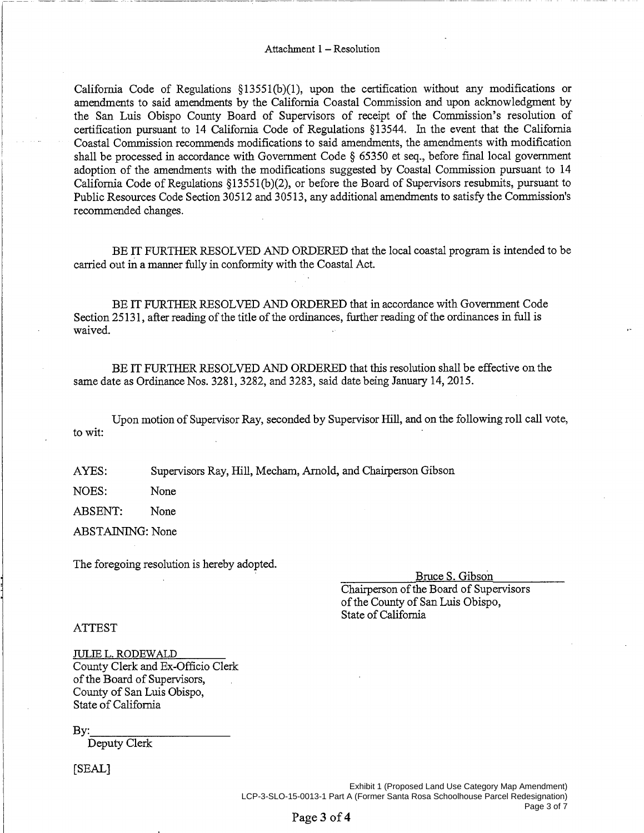California Code of Regulations  $\S 13551(b)(1)$ , upon the certification without any modifications or amendments to said amendments by the California Coastal Commission and upon acknowledgment by the San Luis Obispo County Board of Supervisors of receipt of the Commission's resolution of certification pursuant to 14 California Code of Regulations §13544. In the event that the California Coastal Commission recommends modifications to said amendments, the amendments with modification shall be processed in accordance with Government Code § 65350 et seq., before final local government adoption of the amendments with the modifications suggested by Coastal Commission pursuant to 14 California Code of Regulations §13551(b)(2), or before the Board of Supervisors resubmits, pursuant to Public Resources Code Section 30512 and 30513, any additional amendments to satisfy the Commission's recommended changes.

BE IT FURTHER RESOLVED AND ORDERED that the local coastal program is intended to be carried out in a manner fully in conformity with the Coastal Act.

BE IT FURTHER RESOLVED AND ORDERED that in accordance with Government Code Section 25131, after reading of the title of the ordinances, further reading of the ordinances in full is waived.

BE IT FURTHER RESOLVED AND ORDERED that this resolution shall be effective on the same date as Ordinance Nos. 3281, 3282, and 3283, said date being January 14, 2015.

Upon motion of Supervisor Ray, seconded by Supervisor Hill, and on the following roll call vote, to wit:

AYES: Supervisors Ray, Hill, Mecham, Arnold, and Chairperson Gibson

NOES: None

**ABSENT:** None

ABSTAINING: None

The foregoing resolution is hereby adopted.

Bruce S. Gibson

Chairperson of the Board of Supervisors of the County of San Luis Obispo, State of California

**ATTEST** 

**JULIE L. RODEWALD** County Clerk and Ex-Officio Clerk of the Board of Supervisors, County of San Luis Obispo. State of California

Bv:

Deputy Clerk

[SEAL]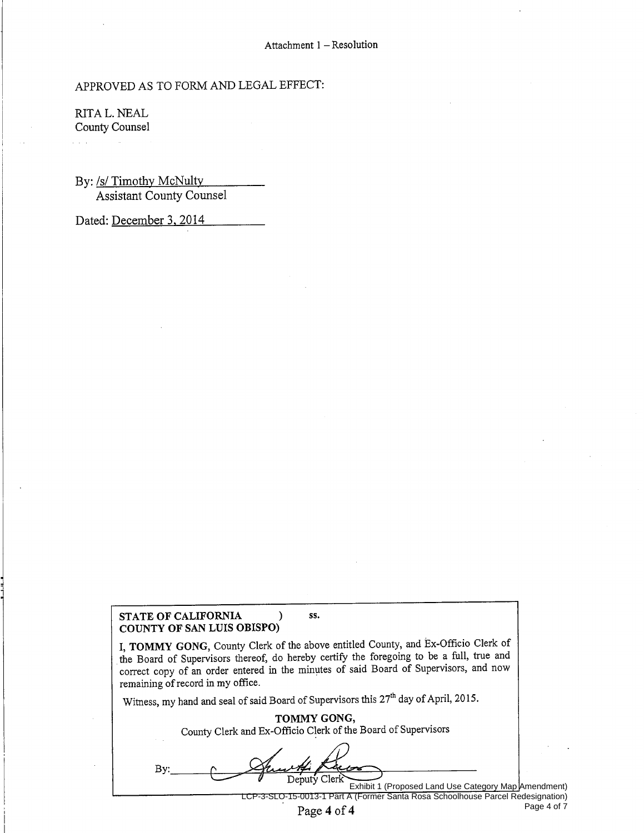#### APPROVED AS TO FORM AND LEGAL EFFECT:

RITA L. NEAL County Counsel

By: /s/ Timothy McNulty **Assistant County Counsel** 

Dated: December 3, 2014

#### STATE OF CALIFORNIA  $\mathcal{E}$ COUNTY OF SAN LUIS OBISPO)

I, TOMMY GONG, County Clerk of the above entitled County, and Ex-Officio Clerk of the Board of Supervisors thereof, do hereby certify the foregoing to be a full, true and correct copy of an order entered in the minutes of said Board of Supervisors, and now remaining of record in my office.

SS.

Witness, my hand and seal of said Board of Supervisors this 27<sup>th</sup> day of April, 2015.

| TOMMY GONG,<br>County Clerk and Ex-Officio Clerk of the Board of Supervisors |  |
|------------------------------------------------------------------------------|--|
| Bν<br>Deputy Clerk<br>Exhibit 1 (Proposed Land Use Category Map Amendment)   |  |

Page 4 of  $\overline{7}$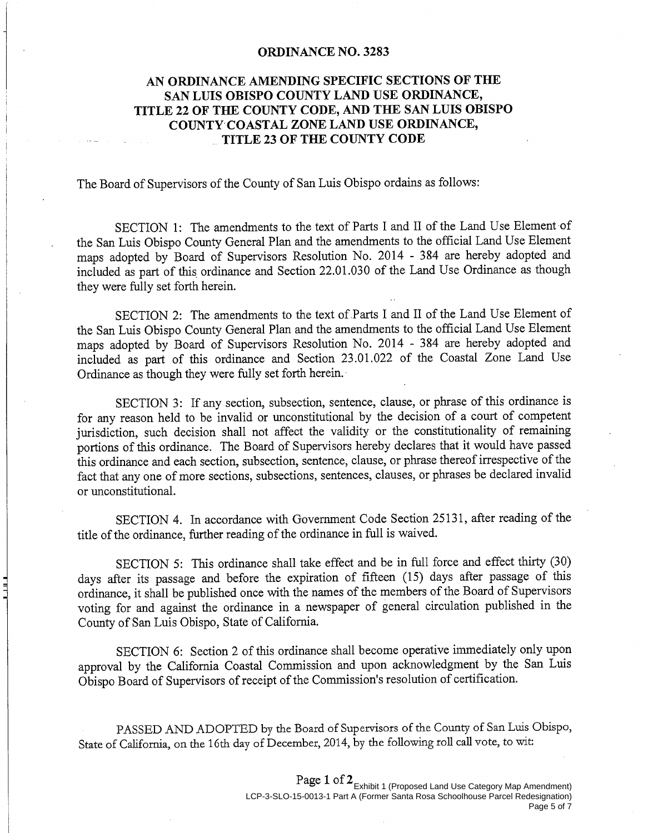#### **ORDINANCE NO. 3283**

#### AN ORDINANCE AMENDING SPECIFIC SECTIONS OF THE SAN LUIS OBISPO COUNTY LAND USE ORDINANCE, TITLE 22 OF THE COUNTY CODE, AND THE SAN LUIS OBISPO COUNTY COASTAL ZONE LAND USE ORDINANCE. TITLE 23 OF THE COUNTY CODE

The Board of Supervisors of the County of San Luis Obispo ordains as follows:

SECTION 1: The amendments to the text of Parts I and II of the Land Use Element of the San Luis Obispo County General Plan and the amendments to the official Land Use Element maps adopted by Board of Supervisors Resolution No. 2014 - 384 are hereby adopted and included as part of this ordinance and Section 22.01.030 of the Land Use Ordinance as though they were fully set forth herein.

SECTION 2: The amendments to the text of Parts I and II of the Land Use Element of the San Luis Obispo County General Plan and the amendments to the official Land Use Element maps adopted by Board of Supervisors Resolution No. 2014 - 384 are hereby adopted and included as part of this ordinance and Section 23.01.022 of the Coastal Zone Land Use Ordinance as though they were fully set forth herein.

SECTION 3: If any section, subsection, sentence, clause, or phrase of this ordinance is for any reason held to be invalid or unconstitutional by the decision of a court of competent jurisdiction, such decision shall not affect the validity or the constitutionality of remaining portions of this ordinance. The Board of Supervisors hereby declares that it would have passed this ordinance and each section, subsection, sentence, clause, or phrase thereof irrespective of the fact that any one of more sections, subsections, sentences, clauses, or phrases be declared invalid or unconstitutional.

SECTION 4. In accordance with Government Code Section 25131, after reading of the title of the ordinance, further reading of the ordinance in full is waived.

SECTION 5: This ordinance shall take effect and be in full force and effect thirty (30) days after its passage and before the expiration of fifteen (15) days after passage of this ordinance, it shall be published once with the names of the members of the Board of Supervisors voting for and against the ordinance in a newspaper of general circulation published in the County of San Luis Obispo, State of California.

 $\frac{1}{4}$ 

SECTION 6: Section 2 of this ordinance shall become operative immediately only upon approval by the California Coastal Commission and upon acknowledgment by the San Luis Obispo Board of Supervisors of receipt of the Commission's resolution of certification.

PASSED AND ADOPTED by the Board of Supervisors of the County of San Luis Obispo, State of California, on the 16th day of December, 2014, by the following roll call vote, to wit:

#### Page 1 of 2<br>Exhibit 1 (Proposed Land Use Category Map Amendment) LCP-3-SLO-15-0013-1 Part A (Former Santa Rosa Schoolhouse Parcel Redesignation) Page 5 of 7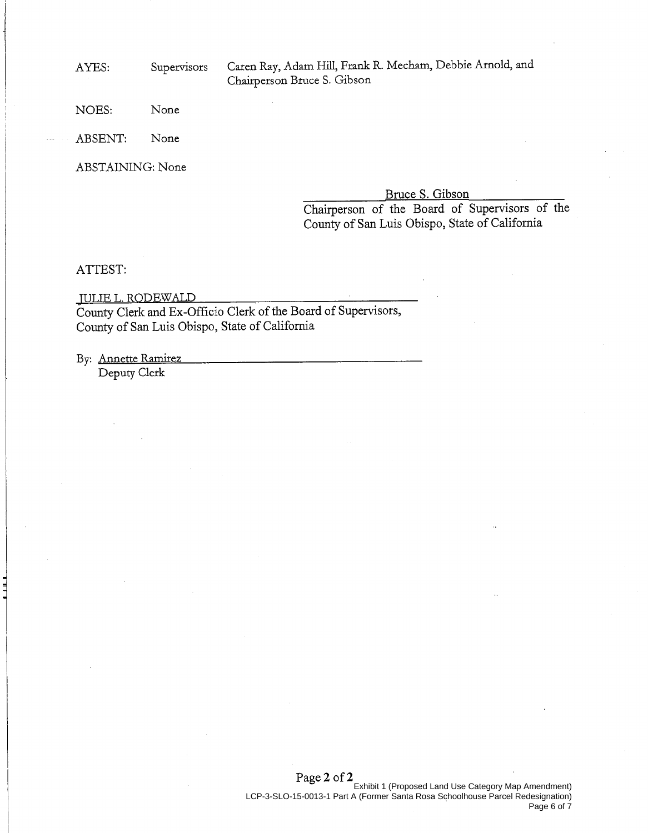AYES:

Supervisors

Caren Ray, Adam Hill, Frank R. Mecham, Debbie Arnold, and Chairperson Bruce S. Gibson

NOES: None

**ABSENT:** None

**ABSTAINING: None** 

Bruce S. Gibson

Chairperson of the Board of Supervisors of the County of San Luis Obispo, State of California

#### ATTEST:

 $\exists$ 

**JULIE L. RODEWALD** County Clerk and Ex-Officio Clerk of the Board of Supervisors, County of San Luis Obispo, State of California

By: Annette Ramirez

Deputy Clerk